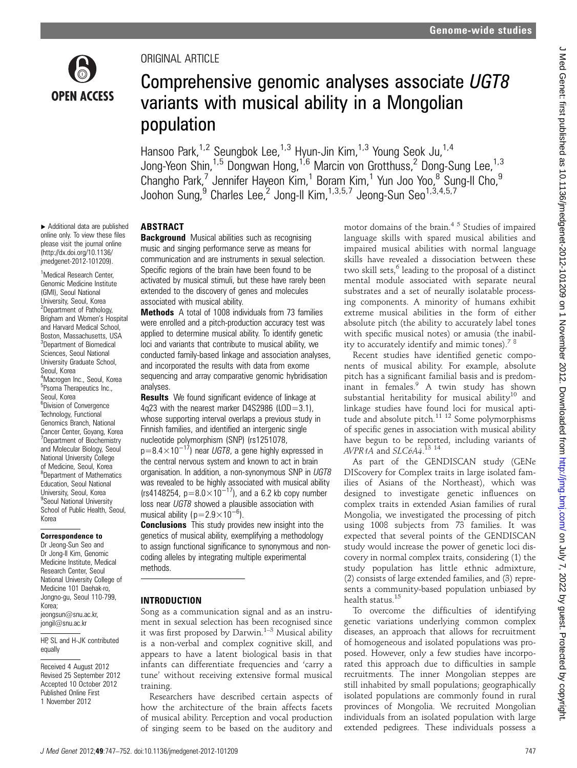

# ORIGINAL ARTICLE

# Comprehensive genomic analyses associate UGT8 variants with musical ability in a Mongolian population

Hansoo Park,<sup>1,2</sup> Seungbok Lee,<sup>1,3</sup> Hyun-Jin Kim,<sup>1,3</sup> Young Seok Ju,<sup>1,4</sup> Jong-Yeon Shin,<sup>1,5</sup> Dongwan Hong,<sup>1,6</sup> Marcin von Grotthuss,<sup>2</sup> Dong-Sung Lee,<sup>1,3</sup> Changho Park,<sup>7</sup> Jennifer Hayeon Kim,<sup>1</sup> Boram Kim,<sup>1</sup> Yun Joo Yoo,<sup>8</sup> Sung-Il Cho,<sup>9</sup> Joohon Sung, <sup>9</sup> Charles Lee,<sup>2</sup> Jong-Il Kim,<sup>1,3,5,7</sup> Jeong-Sun Seo<sup>1,3,4,5,7</sup>

▸ Additional data are published online only. To view these files please visit the journal online [\(http://dx.doi.org/10.1136/](http://dx.doi.org/10.1136/jmedgenet-2012-101209) [jmedgenet-2012-101209\)](http://dx.doi.org/10.1136/jmedgenet-2012-101209).

<sup>1</sup>Medical Research Center, Genomic Medicine Institute (GMI), Seoul National University, Seoul, Korea 2 Department of Pathology, Brigham and Women's Hospital and Harvard Medical School, Boston, Massachusetts, USA 3 Department of Biomedical Sciences, Seoul National University Graduate School, Seoul, Korea 4 Macrogen Inc., Seoul, Korea 5 Psoma Therapeutics Inc., Seoul, Korea 6 Division of Convergence Technology, Functional Genomics Branch, National Cancer Center, Goyang, Korea 7 Department of Biochemistry and Molecular Biology, Seoul National University College of Medicine, Seoul, Korea <sup>8</sup>Department of Mathematics Education, Seoul National University, Seoul, Korea <sup>9</sup>Seoul National University School of Public Health, Seoul, Korea

### Correspondence to

Dr Jeong-Sun Seo and Dr Jong-Il Kim, Genomic Medicine Institute, Medical Research Center, Seoul National University College of Medicine 101 Daehak-ro, Jongno-gu, Seoul 110-799, Korea; jeongsun@snu.ac.kr, jongil@snu.ac.kr

HP, SL and H-JK contributed equally

Received 4 August 2012 Revised 25 September 2012 Accepted 10 October 2012 Published Online First 1 November 2012

# ABSTRACT

**Background** Musical abilities such as recognising music and singing performance serve as means for communication and are instruments in sexual selection. Specific regions of the brain have been found to be activated by musical stimuli, but these have rarely been extended to the discovery of genes and molecules associated with musical ability.

Methods A total of 1008 individuals from 73 families were enrolled and a pitch-production accuracy test was applied to determine musical ability. To identify genetic loci and variants that contribute to musical ability, we conducted family-based linkage and association analyses, and incorporated the results with data from exome sequencing and array comparative genomic hybridisation analyses.

**Results** We found significant evidence of linkage at 4q23 with the nearest marker D4S2986 (LOD=3.1), whose supporting interval overlaps a previous study in Finnish families, and identified an intergenic single nucleotide polymorphism (SNP) (rs1251078,  $p=8.4\times10^{-17}$ ) near UGT8, a gene highly expressed in the central nervous system and known to act in brain organisation. In addition, a non-synonymous SNP in UGT8 was revealed to be highly associated with musical ability (rs4148254,  $p=8.0\times10^{-17}$ ), and a 6.2 kb copy number loss near UGT8 showed a plausible association with musical ability (p=2.9×10<sup>-6</sup>).

**Conclusions** This study provides new insight into the genetics of musical ability, exemplifying a methodology to assign functional significance to synonymous and noncoding alleles by integrating multiple experimental methods.

### INTRODUCTION

Song as a communication signal and as an instrument in sexual selection has been recognised since it was first proposed by Darwin. $1-3$  Musical ability is a non-verbal and complex cognitive skill, and appears to have a latent biological basis in that infants can differentiate frequencies and 'carry a tune' without receiving extensive formal musical training.

Researchers have described certain aspects of how the architecture of the brain affects facets of musical ability. Perception and vocal production of singing seem to be based on the auditory and motor domains of the brain.<sup>45</sup> Studies of impaired language skills with spared musical abilities and impaired musical abilities with normal language skills have revealed a dissociation between these two skill sets, $6$  leading to the proposal of a distinct mental module associated with separate neural substrates and a set of neurally isolatable processing components. A minority of humans exhibit extreme musical abilities in the form of either absolute pitch (the ability to accurately label tones with specific musical notes) or amusia (the inability to accurately identify and mimic tones).<sup>78</sup>

Recent studies have identified genetic components of musical ability. For example, absolute pitch has a significant familial basis and is predominant in females.<sup>9</sup> A twin study has shown substantial heritability for musical ability<sup>10</sup> and linkage studies have found loci for musical aptitude and absolute pitch. $^{11}$  12 Some polymorphisms of specific genes in association with musical ability have begun to be reported, including variants of AVPR1A and SLC6A4.<sup>13</sup><sup>14</sup>

As part of the GENDISCAN study (GENe DIScovery for Complex traits in large isolated families of Asians of the Northeast), which was designed to investigate genetic influences on complex traits in extended Asian families of rural Mongolia, we investigated the processing of pitch using 1008 subjects from 73 families. It was expected that several points of the GENDISCAN study would increase the power of genetic loci discovery in normal complex traits, considering (1) the study population has little ethnic admixture, (2) consists of large extended families, and (3) represents a community-based population unbiased by health status.15

To overcome the difficulties of identifying genetic variations underlying common complex diseases, an approach that allows for recruitment of homogeneous and isolated populations was proposed. However, only a few studies have incorporated this approach due to difficulties in sample recruitments. The inner Mongolian steppes are still inhabited by small populations; geographically isolated populations are commonly found in rural provinces of Mongolia. We recruited Mongolian individuals from an isolated population with large extended pedigrees. These individuals possess a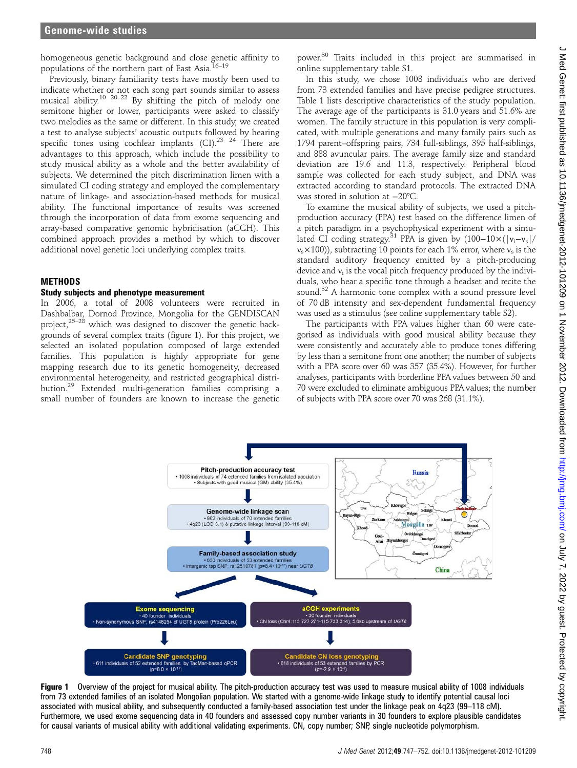homogeneous genetic background and close genetic affinity to populations of the northern part of East Asia.<sup>16-19</sup>

Previously, binary familiarity tests have mostly been used to indicate whether or not each song part sounds similar to assess musical ability.<sup>10 20–22</sup> By shifting the pitch of melody one semitone higher or lower, participants were asked to classify two melodies as the same or different. In this study, we created a test to analyse subjects' acoustic outputs followed by hearing specific tones using cochlear implants (CI).<sup>23</sup> <sup>24</sup> There are advantages to this approach, which include the possibility to study musical ability as a whole and the better availability of subjects. We determined the pitch discrimination limen with a simulated CI coding strategy and employed the complementary nature of linkage- and association-based methods for musical ability. The functional importance of results was screened through the incorporation of data from exome sequencing and array-based comparative genomic hybridisation (aCGH). This combined approach provides a method by which to discover additional novel genetic loci underlying complex traits.

### METHODS

### Study subjects and phenotype measurement

In 2006, a total of 2008 volunteers were recruited in Dashbalbar, Dornod Province, Mongolia for the GENDISCAN project, $25-28$  which was designed to discover the genetic backgrounds of several complex traits (figure 1). For this project, we selected an isolated population composed of large extended families. This population is highly appropriate for gene mapping research due to its genetic homogeneity, decreased environmental heterogeneity, and restricted geographical distribution.<sup>29</sup> Extended multi-generation families comprising a small number of founders are known to increase the genetic

power.<sup>30</sup> Traits included in this project are summarised in online supplementary table S1.

In this study, we chose 1008 individuals who are derived from 73 extended families and have precise pedigree structures. Table 1 lists descriptive characteristics of the study population. The average age of the participants is 31.0 years and 51.6% are women. The family structure in this population is very complicated, with multiple generations and many family pairs such as 1794 parent–offspring pairs, 734 full-siblings, 395 half-siblings, and 888 avuncular pairs. The average family size and standard deviation are 19.6 and 11.3, respectively. Peripheral blood sample was collected for each study subject, and DNA was extracted according to standard protocols. The extracted DNA was stored in solution at −20°C.

To examine the musical ability of subjects, we used a pitchproduction accuracy (PPA) test based on the difference limen of a pitch paradigm in a psychophysical experiment with a simulated CI coding strategy.<sup>31</sup> PPA is given by  $(100-10\times(|v_i-v_s|/$  $v_s \times 100$ )), subtracting 10 points for each 1% error, where  $v_s$  is the standard auditory frequency emitted by a pitch-producing device and  $v_i$  is the vocal pitch frequency produced by the individuals, who hear a specific tone through a headset and recite the sound.<sup>32</sup> A harmonic tone complex with a sound pressure level of 70 dB intensity and sex-dependent fundamental frequency was used as a stimulus (see online supplementary table S2).

The participants with PPA values higher than 60 were categorised as individuals with good musical ability because they were consistently and accurately able to produce tones differing by less than a semitone from one another; the number of subjects with a PPA score over 60 was 357 (35.4%). However, for further analyses, participants with borderline PPA values between 50 and 70 were excluded to eliminate ambiguous PPA values; the number of subjects with PPA score over 70 was 268 (31.1%).



Figure 1 Overview of the project for musical ability. The pitch-production accuracy test was used to measure musical ability of 1008 individuals from 73 extended families of an isolated Mongolian population. We started with a genome-wide linkage study to identify potential causal loci associated with musical ability, and subsequently conducted a family-based association test under the linkage peak on 4q23 (99–118 cM). Furthermore, we used exome sequencing data in 40 founders and assessed copy number variants in 30 founders to explore plausible candidates for causal variants of musical ability with additional validating experiments. CN, copy number; SNP, single nucleotide polymorphism.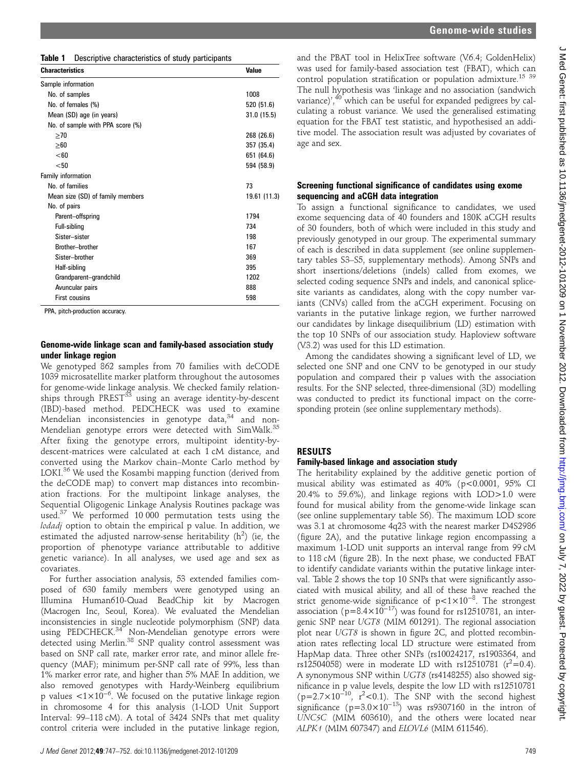Interval: 99–118 cM). A total of 3424 SNPs that met quality control criteria were included in the putative linkage region,

Genome-wide linkage scan and family-based association study

Table 1 Descriptive characteristics of study participants **Characteristics** Value

No. of samples 1008 No. of females (%) 520 (51.6) Mean (SD) age (in years) 31.0 (15.5)

No. of families 73 Mean size (SD) of family members 19.61 (11.3)

Parent–offspring 1794 Full-sibling 734 Sister–sister 198 Brother–brother 167 Sister–brother 369 Half-sibling 395 Grandparent–grandchild 1202 Avuncular pairs 888 First cousins 598

 $\geq$ 70 268 (26.6)  $>60$  357 (35.4)  $<$ 60 651 (64.6)  $<$ 50 594 (58.9)

We genotyped 862 samples from 70 families with deCODE 1039 microsatellite marker platform throughout the autosomes for genome-wide linkage analysis. We checked family relationships through PREST<sup>33</sup> using an average identity-by-descent (IBD)-based method. PEDCHECK was used to examine Mendelian inconsistencies in genotype data, $34$  and non-Mendelian genotype errors were detected with SimWalk.<sup>35</sup> After fixing the genotype errors, multipoint identity-bydescent-matrices were calculated at each 1 cM distance, and converted using the Markov chain–Monte Carlo method by LOKI.<sup>36</sup> We used the Kosambi mapping function (derived from the deCODE map) to convert map distances into recombination fractions. For the multipoint linkage analyses, the Sequential Oligogenic Linkage Analysis Routines package was used.<sup>37</sup> We performed 10 000 permutation tests using the lodadj option to obtain the empirical p value. In addition, we estimated the adjusted narrow-sense heritability  $(h^2)$  (ie, the proportion of phenotype variance attributable to additive genetic variance). In all analyses, we used age and sex as

For further association analysis, 53 extended families composed of 630 family members were genotyped using an Illumina Human610-Quad BeadChip kit by Macrogen (Macrogen Inc, Seoul, Korea). We evaluated the Mendelian inconsistencies in single nucleotide polymorphism (SNP) data using PEDCHECK.<sup>34</sup> Non-Mendelian genotype errors were detected using Merlin.<sup>38</sup> SNP quality control assessment was based on SNP call rate, marker error rate, and minor allele frequency (MAF); minimum per-SNP call rate of 99%, less than 1% marker error rate, and higher than 5% MAF. In addition, we

under linkage region

PPA, pitch-production accuracy.

Sample information

Family information

No. of pairs

No. of sample with PPA score (%)

covariates.

and the PBAT tool in HelixTree software (V.6.4; GoldenHelix) was used for family-based association test (FBAT), which can control population stratification or population admixture.<sup>15 39</sup> The null hypothesis was 'linkage and no association (sandwich variance)',<sup>40</sup> which can be useful for expanded pedigrees by calculating a robust variance. We used the generalised estimating equation for the FBAT test statistic, and hypothesised an additive model. The association result was adjusted by covariates of age and sex.

### Screening functional significance of candidates using exome sequencing and aCGH data integration

To assign a functional significance to candidates, we used exome sequencing data of 40 founders and 180K aCGH results of 30 founders, both of which were included in this study and previously genotyped in our group. The experimental summary of each is described in data supplement (see online supplementary tables S3–S5, supplementary methods). Among SNPs and short insertions/deletions (indels) called from exomes, we selected coding sequence SNPs and indels, and canonical splicesite variants as candidates, along with the copy number variants (CNVs) called from the aCGH experiment. Focusing on variants in the putative linkage region, we further narrowed our candidates by linkage disequilibrium (LD) estimation with the top 10 SNPs of our association study. Haploview software (V.3.2) was used for this LD estimation.

Among the candidates showing a significant level of LD, we selected one SNP and one CNV to be genotyped in our study population and compared their p values with the association results. For the SNP selected, three-dimensional (3D) modelling was conducted to predict its functional impact on the corresponding protein (see online supplementary methods).

# RESULTS

# Family-based linkage and association study

The heritability explained by the additive genetic portion of musical ability was estimated as 40% (p<0.0001, 95% CI 20.4% to 59.6%), and linkage regions with LOD>1.0 were found for musical ability from the genome-wide linkage scan (see online supplementary table S6). The maximum LOD score was 3.1 at chromosome 4q23 with the nearest marker D4S2986 (figure 2A), and the putative linkage region encompassing a maximum 1-LOD unit supports an interval range from 99 cM to 118 cM (figure 2B). In the next phase, we conducted FBAT to identify candidate variants within the putative linkage interval. Table 2 shows the top 10 SNPs that were significantly associated with musical ability, and all of these have reached the strict genome-wide significance of p<1×10−<sup>8</sup> . The strongest association (p=8.4×10<sup>-17</sup>) was found for rs12510781, an intergenic SNP near UGT8 (MIM 601291). The regional association plot near UGT8 is shown in figure 2C, and plotted recombination rates reflecting local LD structure were estimated from HapMap data. Three other SNPs (rs10024217, rs1903364, and rs12504058) were in moderate LD with rs12510781 ( $r^2$ =0.4). A synonymous SNP within UGT8 (rs4148255) also showed significance in p value levels, despite the low LD with rs12510781  $(p=2.7\times10^{-10}, r^2<0.1)$ . The SNP with the second highest significance (p= $3.0 \times 10^{-13}$ ) was rs9307160 in the intron of UNC5C (MIM 603610), and the others were located near ALPK1 (MIM 607347) and ELOVL6 (MIM 611546).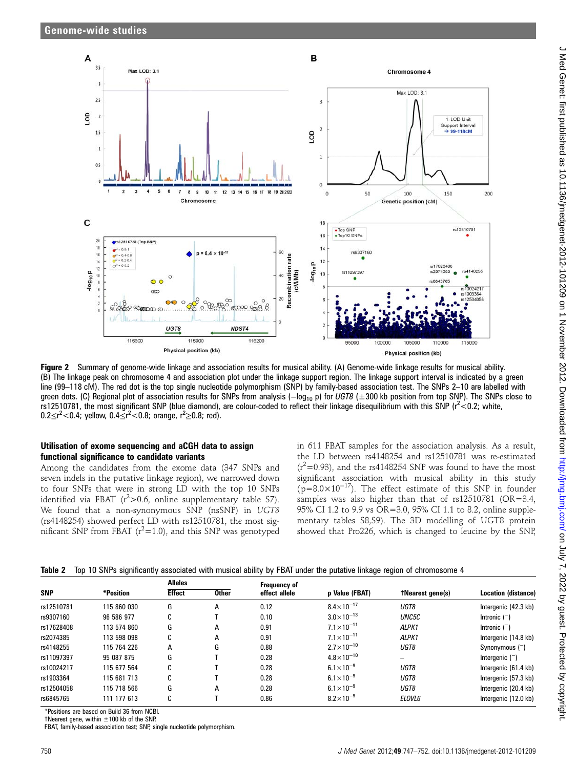

Figure 2 Summary of genome-wide linkage and association results for musical ability. (A) Genome-wide linkage results for musical ability. (B) The linkage peak on chromosome 4 and association plot under the linkage support region. The linkage support interval is indicated by a green line (99–118 cM). The red dot is the top single nucleotide polymorphism (SNP) by family-based association test. The SNPs 2–10 are labelled with green dots. (C) Regional plot of association results for SNPs from analysis ( $-\log_{10}$  p) for UGT8 ( $\pm$ 300 kb position from top SNP). The SNPs close to rs12510781, the most significant SNP (blue diamond), are colour-coded to reflect their linkage disequilibrium with this SNP ( $r^2$  < 0.2; white, 0.2 ≤ r<sup>2</sup> < 0.4; yellow, 0.4 ≤ r<sup>2</sup> < 0.8; orange, r<sup>2</sup> ≥ 0.8; red).

### Utilisation of exome sequencing and aCGH data to assign functional significance to candidate variants

Among the candidates from the exome data (347 SNPs and seven indels in the putative linkage region), we narrowed down to four SNPs that were in strong LD with the top 10 SNPs identified via FBAT ( $r^2$ >0.6, online supplementary table S7). We found that a non-synonymous SNP (nsSNP) in UGT8 (rs4148254) showed perfect LD with rs12510781, the most significant SNP from FBAT  $(r^2=1.0)$ , and this SNP was genotyped

in 611 FBAT samples for the association analysis. As a result, the LD between rs4148254 and rs12510781 was re-estimated  $(r^2=0.93)$ , and the rs4148254 SNP was found to have the most significant association with musical ability in this study  $(p=8.0\times10^{-17})$ . The effect estimate of this SNP in founder samples was also higher than that of rs12510781 (OR=3.4, 95% CI 1.2 to 9.9 vs OR=3.0, 95% CI 1.1 to 8.2, online supplementary tables S8,S9). The 3D modelling of UGT8 protein showed that Pro226, which is changed to leucine by the SNP,

| Table 2 Top 10 SNPs significantly associated with musical ability by FBAT under the putative linkage region of chromosome 4 |  |  |  |  |  |  |  |  |
|-----------------------------------------------------------------------------------------------------------------------------|--|--|--|--|--|--|--|--|
|-----------------------------------------------------------------------------------------------------------------------------|--|--|--|--|--|--|--|--|

| <b>SNP</b> | *Position   | <b>Alleles</b> |              | Frequency of  |                       |                         |                      |
|------------|-------------|----------------|--------------|---------------|-----------------------|-------------------------|----------------------|
|            |             | <b>Effect</b>  | <b>Other</b> | effect allele | p Value (FBAT)        | <b>TNearest gene(s)</b> | Location (distance)  |
| rs12510781 | 115 860 030 | G              | A            | 0.12          | $8.4\times10^{-17}$   | UGT8                    | Intergenic (42.3 kb) |
| rs9307160  | 96 586 977  | $\sim$<br>U    |              | 0.10          | $3.0\times10^{-13}$   | UNC5C                   | Intronic $($ )       |
| rs17628408 | 113 574 860 | G              | A            | 0.91          | $7.1 \times 10^{-11}$ | ALPK1                   | Intronic $($ )       |
| rs2074385  | 113 598 098 | C              | A            | 0.91          | $7.1 \times 10^{-11}$ | ALPK1                   | Intergenic (14.8 kb) |
| rs4148255  | 115 764 226 | A              | G            | 0.88          | $2.7\times10^{-10}$   | UGT8                    | Synonymous $($ )     |
| rs11097397 | 95 087 875  | G              |              | 0.28          | $4.8\times10^{-10}$   | -                       | Intergenic $($ )     |
| rs10024217 | 115 677 564 | C              |              | 0.28          | $6.1 \times 10^{-9}$  | UGT8                    | Intergenic (61.4 kb) |
| rs1903364  | 115 681 713 | C              |              | 0.28          | $6.1\times10^{-9}$    | UGT8                    | Intergenic (57.3 kb) |
| rs12504058 | 115 718 566 | G              | A            | 0.28          | $6.1 \times 10^{-9}$  | UGT8                    | Intergenic (20.4 kb) |
| rs6845765  | 111 177 613 | C              |              | 0.86          | $8.2\times10^{-9}$    | ELOVL6                  | Intergenic (12.0 kb) |

\*Positions are based on Build 36 from NCBI.

 $†Nearest gene, within  $\pm 100$  kb of the SNP.$ 

FBAT, family-based association test; SNP, single nucleotide polymorphism.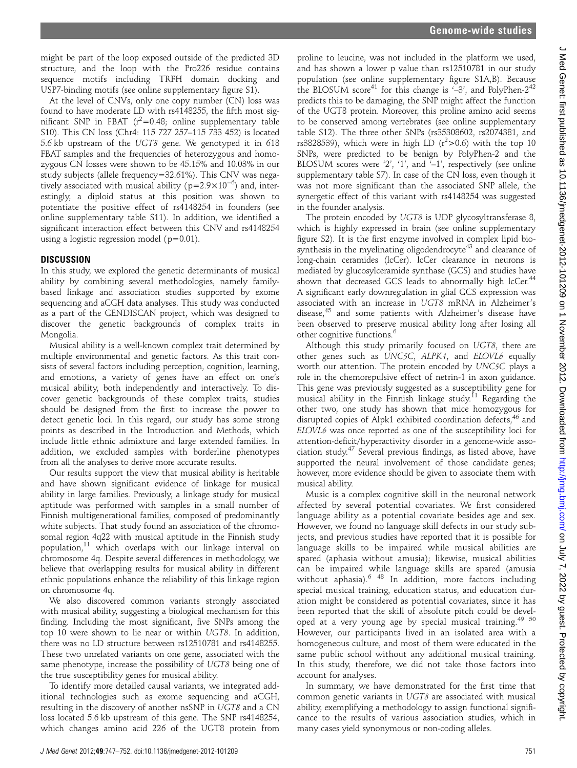might be part of the loop exposed outside of the predicted 3D structure, and the loop with the Pro226 residue contains sequence motifs including TRFH domain docking and USP7-binding motifs (see online supplementary figure S1).

At the level of CNVs, only one copy number (CN) loss was found to have moderate LD with rs4148255, the fifth most significant SNP in FBAT  $(r^2=0.48;$  online supplementary table S10). This CN loss (Chr4: 115 727 257–115 733 452) is located 5.6 kb upstream of the UGT8 gene. We genotyped it in 618 FBAT samples and the frequencies of heterozygous and homozygous CN losses were shown to be 45.15% and 10.03% in our study subjects (allele frequency=32.61%). This CNV was negatively associated with musical ability ( $p=2.9\times10^{-6}$ ) and, interestingly, a diploid status at this position was shown to potentiate the positive effect of rs4148254 in founders (see online supplementary table S11). In addition, we identified a significant interaction effect between this CNV and rs4148254 using a logistic regression model ( $p=0.01$ ).

### DISCUSSION

In this study, we explored the genetic determinants of musical ability by combining several methodologies, namely familybased linkage and association studies supported by exome sequencing and aCGH data analyses. This study was conducted as a part of the GENDISCAN project, which was designed to discover the genetic backgrounds of complex traits in Mongolia.

Musical ability is a well-known complex trait determined by multiple environmental and genetic factors. As this trait consists of several factors including perception, cognition, learning, and emotions, a variety of genes have an effect on one's musical ability, both independently and interactively. To discover genetic backgrounds of these complex traits, studies should be designed from the first to increase the power to detect genetic loci. In this regard, our study has some strong points as described in the Introduction and Methods, which include little ethnic admixture and large extended families. In addition, we excluded samples with borderline phenotypes from all the analyses to derive more accurate results.

Our results support the view that musical ability is heritable and have shown significant evidence of linkage for musical ability in large families. Previously, a linkage study for musical aptitude was performed with samples in a small number of Finnish multigenerational families, composed of predominantly white subjects. That study found an association of the chromosomal region 4q22 with musical aptitude in the Finnish study population,11 which overlaps with our linkage interval on chromosome 4q. Despite several differences in methodology, we believe that overlapping results for musical ability in different ethnic populations enhance the reliability of this linkage region on chromosome 4q.

We also discovered common variants strongly associated with musical ability, suggesting a biological mechanism for this finding. Including the most significant, five SNPs among the top 10 were shown to lie near or within UGT8. In addition, there was no LD structure between rs12510781 and rs4148255. These two unrelated variants on one gene, associated with the same phenotype, increase the possibility of UGT8 being one of the true susceptibility genes for musical ability.

To identify more detailed causal variants, we integrated additional technologies such as exome sequencing and aCGH, resulting in the discovery of another nsSNP in UGT8 and a CN loss located 5.6 kb upstream of this gene. The SNP rs4148254, which changes amino acid 226 of the UGT8 protein from

proline to leucine, was not included in the platform we used, and has shown a lower p value than rs12510781 in our study population (see online supplementary figure S1A,B). Because the BLOSUM score<sup>41</sup> for this change is  $-3'$ , and PolyPhen-2<sup>42</sup> predicts this to be damaging, the SNP might affect the function of the UGT8 protein. Moreover, this proline amino acid seems to be conserved among vertebrates (see online supplementary table S12). The three other SNPs (rs35308602, rs2074381, and rs3828539), which were in high LD ( $r^2$ >0.6) with the top 10 SNPs, were predicted to be benign by PolyPhen-2 and the BLOSUM scores were '2', '1', and '–1', respectively (see online supplementary table S7). In case of the CN loss, even though it was not more significant than the associated SNP allele, the synergetic effect of this variant with rs4148254 was suggested in the founder analysis.

The protein encoded by UGT8 is UDP glycosyltransferase 8, which is highly expressed in brain (see online supplementary figure S2). It is the first enzyme involved in complex lipid biosynthesis in the myelinating oligodendrocyte<sup>43</sup> and clearance of long-chain ceramides (lcCer). lcCer clearance in neurons is mediated by glucosylceramide synthase (GCS) and studies have shown that decreased GCS leads to abnormally high lcCer.<sup>44</sup> A significant early downregulation in glial GCS expression was associated with an increase in UGT8 mRNA in Alzheimer's disease,<sup>45</sup> and some patients with Alzheimer's disease have been observed to preserve musical ability long after losing all other cognitive functions.<sup>6</sup>

Although this study primarily focused on UGT8, there are other genes such as UNC5C, ALPK1, and ELOVL6 equally worth our attention. The protein encoded by UNC5C plays a role in the chemorepulsive effect of netrin-1 in axon guidance. This gene was previously suggested as a susceptibility gene for musical ability in the Finnish linkage study.<sup>11</sup> Regarding the other two, one study has shown that mice homozygous for disrupted copies of Alpk1 exhibited coordination defects,<sup>46</sup> and ELOVL6 was once reported as one of the susceptibility loci for attention-deficit/hyperactivity disorder in a genome-wide association study.<sup>47</sup> Several previous findings, as listed above, have supported the neural involvement of those candidate genes; however, more evidence should be given to associate them with musical ability.

Music is a complex cognitive skill in the neuronal network affected by several potential covariates. We first considered language ability as a potential covariate besides age and sex. However, we found no language skill defects in our study subjects, and previous studies have reported that it is possible for language skills to be impaired while musical abilities are spared (aphasia without amusia); likewise, musical abilities can be impaired while language skills are spared (amusia without aphasia).<sup>6 48</sup> In addition, more factors including special musical training, education status, and education duration might be considered as potential covariates, since it has been reported that the skill of absolute pitch could be developed at a very young age by special musical training.<sup>49 50</sup> However, our participants lived in an isolated area with a homogeneous culture, and most of them were educated in the same public school without any additional musical training. In this study, therefore, we did not take those factors into account for analyses.

In summary, we have demonstrated for the first time that common genetic variants in UGT8 are associated with musical ability, exemplifying a methodology to assign functional significance to the results of various association studies, which in many cases yield synonymous or non-coding alleles.